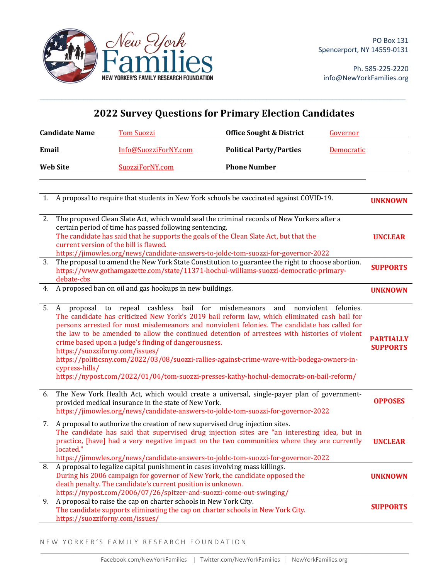

Ph. 585-225-2220 info@NewYorkFamilies.org

|    |                                                   |                                                                                                                                                                                                                   | <b>2022 Survey Questions for Primary Election Candidates</b>                                                                                                                                                                                                                                                                                                                                                                                                                                                                                                              |                              |
|----|---------------------------------------------------|-------------------------------------------------------------------------------------------------------------------------------------------------------------------------------------------------------------------|---------------------------------------------------------------------------------------------------------------------------------------------------------------------------------------------------------------------------------------------------------------------------------------------------------------------------------------------------------------------------------------------------------------------------------------------------------------------------------------------------------------------------------------------------------------------------|------------------------------|
|    |                                                   |                                                                                                                                                                                                                   |                                                                                                                                                                                                                                                                                                                                                                                                                                                                                                                                                                           |                              |
|    |                                                   |                                                                                                                                                                                                                   | Email Info@SuozziForNY.com Political Party/Parties Democratic                                                                                                                                                                                                                                                                                                                                                                                                                                                                                                             |                              |
|    |                                                   |                                                                                                                                                                                                                   |                                                                                                                                                                                                                                                                                                                                                                                                                                                                                                                                                                           |                              |
|    |                                                   |                                                                                                                                                                                                                   | 1. A proposal to require that students in New York schools be vaccinated against COVID-19.                                                                                                                                                                                                                                                                                                                                                                                                                                                                                | <b>UNKNOWN</b>               |
| 2. |                                                   | certain period of time has passed following sentencing.<br>current version of the bill is flawed.                                                                                                                 | The proposed Clean Slate Act, which would seal the criminal records of New Yorkers after a<br>The candidate has said that he supports the goals of the Clean Slate Act, but that the<br>https://jimowles.org/news/candidate-answers-to-joldc-tom-suozzi-for-governor-2022                                                                                                                                                                                                                                                                                                 | <b>UNCLEAR</b>               |
| 3. | debate-cbs                                        |                                                                                                                                                                                                                   | The proposal to amend the New York State Constitution to guarantee the right to choose abortion.<br>https://www.gothamgazette.com/state/11371-hochul-williams-suozzi-democratic-primary-                                                                                                                                                                                                                                                                                                                                                                                  | <b>SUPPORTS</b>              |
|    |                                                   | 4. A proposed ban on oil and gas hookups in new buildings.                                                                                                                                                        |                                                                                                                                                                                                                                                                                                                                                                                                                                                                                                                                                                           | <b>UNKNOWN</b>               |
|    | https://suozziforny.com/issues/<br>cypress-hills/ | crime based upon a judge's finding of dangerousness.                                                                                                                                                              | 5. A proposal to repeal cashless bail for misdemeanors and nonviolent felonies.<br>The candidate has criticized New York's 2019 bail reform law, which eliminated cash bail for<br>persons arrested for most misdemeanors and nonviolent felonies. The candidate has called for<br>the law to be amended to allow the continued detention of arrestees with histories of violent<br>https://politicsny.com/2022/03/08/suozzi-rallies-against-crime-wave-with-bodega-owners-in-<br>https://nypost.com/2022/01/04/tom-suozzi-presses-kathy-hochul-democrats-on-bail-reform/ | PARTIALLY<br><b>SUPPORTS</b> |
| 6. |                                                   | provided medical insurance in the state of New York.                                                                                                                                                              | The New York Health Act, which would create a universal, single-payer plan of government-<br>https://jimowles.org/news/candidate-answers-to-joldc-tom-suozzi-for-governor-2022                                                                                                                                                                                                                                                                                                                                                                                            | <b>OPPOSES</b>               |
| 7. | located."                                         | A proposal to authorize the creation of new supervised drug injection sites.                                                                                                                                      | The candidate has said that supervised drug injection sites are "an interesting idea, but in<br>practice, [have] had a very negative impact on the two communities where they are currently<br>https://jimowles.org/news/candidate-answers-to-joldc-tom-suozzi-for-governor-2022                                                                                                                                                                                                                                                                                          | <b>UNCLEAR</b>               |
| 8. |                                                   | A proposal to legalize capital punishment in cases involving mass killings.<br>death penalty. The candidate's current position is unknown.<br>https://nypost.com/2006/07/26/spitzer-and-suozzi-come-out-swinging/ | During his 2006 campaign for governor of New York, the candidate opposed the                                                                                                                                                                                                                                                                                                                                                                                                                                                                                              | <b>UNKNOWN</b>               |
| 9. | https://suozziforny.com/issues/                   | A proposal to raise the cap on charter schools in New York City.                                                                                                                                                  | The candidate supports eliminating the cap on charter schools in New York City.                                                                                                                                                                                                                                                                                                                                                                                                                                                                                           | <b>SUPPORTS</b>              |

 $\mathcal{L}_\mathcal{L} = \mathcal{L}_\mathcal{L} = \mathcal{L}_\mathcal{L} = \mathcal{L}_\mathcal{L} = \mathcal{L}_\mathcal{L} = \mathcal{L}_\mathcal{L} = \mathcal{L}_\mathcal{L} = \mathcal{L}_\mathcal{L} = \mathcal{L}_\mathcal{L} = \mathcal{L}_\mathcal{L} = \mathcal{L}_\mathcal{L} = \mathcal{L}_\mathcal{L} = \mathcal{L}_\mathcal{L} = \mathcal{L}_\mathcal{L} = \mathcal{L}_\mathcal{L} = \mathcal{L}_\mathcal{L} = \mathcal{L}_\mathcal{L}$ 

NEW YORKER'S FAMILY RESEARCH FOUNDATION